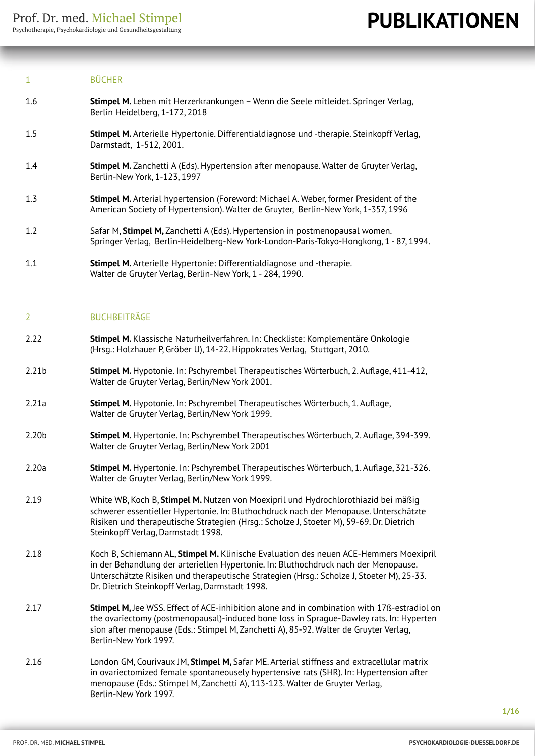#### 1 BÜCHER

- 1.6 **Stimpel M.** Leben mit Herzerkrankungen Wenn die Seele mitleidet. Springer Verlag, Berlin Heidelberg, 1-172, 2018
- 1.5 **Stimpel M.** Arterielle Hypertonie. Differentialdiagnose und -therapie. Steinkopff Verlag, Darmstadt, 1-512, 2001.
- 1.4 **Stimpel M.** Zanchetti A (Eds). Hypertension after menopause. Walter de Gruyter Verlag, Berlin-New York, 1-123, 1997
- 1.3 **Stimpel M.** Arterial hypertension (Foreword: Michael A. Weber, former President of the American Society of Hypertension). Walter de Gruyter, Berlin-New York, 1-357, 1996
- 1.2 Safar M, **Stimpel M,** Zanchetti A (Eds). Hypertension in postmenopausal women. Springer Verlag, Berlin-Heidelberg-New York-London-Paris-Tokyo-Hongkong, 1 - 87, 1994.
- 1.1 **Stimpel M.** Arterielle Hypertonie: Differentialdiagnose und -therapie. Walter de Gruyter Verlag, Berlin-New York, 1 - 284, 1990.

#### 2 BUCHBEITRÄGE

- 2.22 **Stimpel M.** Klassische Naturheilverfahren. In: Checkliste: Komplementäre Onkologie (Hrsg.: Holzhauer P, Gröber U), 14-22. Hippokrates Verlag, Stuttgart, 2010.
- 2.21b **Stimpel M.** Hypotonie. In: Pschyrembel Therapeutisches Wörterbuch, 2. Auflage, 411-412, Walter de Gruyter Verlag, Berlin/New York 2001.
- 2.21a **Stimpel M.** Hypotonie. In: Pschyrembel Therapeutisches Wörterbuch, 1. Auflage, Walter de Gruyter Verlag, Berlin/New York 1999.
- 2.20b **Stimpel M.** Hypertonie. In: Pschyrembel Therapeutisches Wörterbuch, 2. Auflage, 394-399. Walter de Gruyter Verlag, Berlin/New York 2001
- 2.20a **Stimpel M.** Hypertonie. In: Pschyrembel Therapeutisches Wörterbuch, 1. Auflage, 321-326. Walter de Gruyter Verlag, Berlin/New York 1999.
- 2.19 White WB, Koch B, **Stimpel M.** Nutzen von Moexipril und Hydrochlorothiazid bei mäßig schwerer essentieller Hypertonie. In: Bluthochdruck nach der Menopause. Unterschätzte Risiken und therapeutische Strategien (Hrsg.: Scholze J, Stoeter M), 59-69. Dr. Dietrich Steinkopff Verlag, Darmstadt 1998.
- 2.18 Koch B, Schiemann AL, **Stimpel M.** Klinische Evaluation des neuen ACE-Hemmers Moexipril in der Behandlung der arteriellen Hypertonie. In: Bluthochdruck nach der Menopause. Unterschätzte Risiken und therapeutische Strategien (Hrsg.: Scholze J, Stoeter M), 25-33. Dr. Dietrich Steinkopff Verlag, Darmstadt 1998.
- 2.17 **Stimpel M,** Jee WSS. Effect of ACE-inhibition alone and in combination with 17ß-estradiol on the ovariectomy (postmenopausal)-induced bone loss in Sprague-Dawley rats. In: Hyperten sion after menopause (Eds.: Stimpel M, Zanchetti A), 85-92. Walter de Gruyter Verlag, Berlin-New York 1997.
- 2.16 London GM, Courivaux JM, **Stimpel M,** Safar ME. Arterial stiffness and extracellular matrix in ovariectomized female spontaneousely hypertensive rats (SHR). In: Hypertension after menopause (Eds.: Stimpel M, Zanchetti A), 113-123. Walter de Gruyter Verlag, Berlin-New York 1997.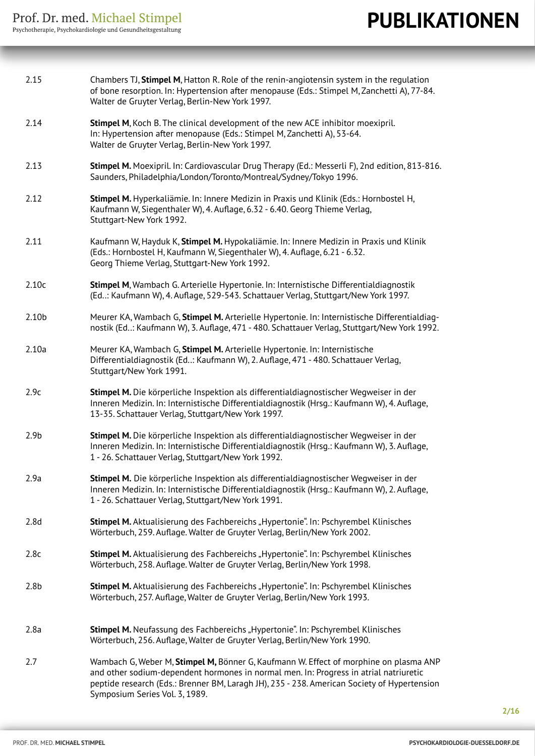| 2.15             | Chambers TJ, Stimpel M, Hatton R. Role of the renin-angiotensin system in the regulation<br>of bone resorption. In: Hypertension after menopause (Eds.: Stimpel M, Zanchetti A), 77-84.<br>Walter de Gruyter Verlag, Berlin-New York 1997.                                                                      |
|------------------|-----------------------------------------------------------------------------------------------------------------------------------------------------------------------------------------------------------------------------------------------------------------------------------------------------------------|
| 2.14             | Stimpel M, Koch B. The clinical development of the new ACE inhibitor moexipril.<br>In: Hypertension after menopause (Eds.: Stimpel M, Zanchetti A), 53-64.<br>Walter de Gruyter Verlag, Berlin-New York 1997.                                                                                                   |
| 2.13             | Stimpel M. Moexipril. In: Cardiovascular Drug Therapy (Ed.: Messerli F), 2nd edition, 813-816.<br>Saunders, Philadelphia/London/Toronto/Montreal/Sydney/Tokyo 1996.                                                                                                                                             |
| 2.12             | Stimpel M. Hyperkaliämie. In: Innere Medizin in Praxis und Klinik (Eds.: Hornbostel H,<br>Kaufmann W, Siegenthaler W), 4. Auflage, 6.32 - 6.40. Georg Thieme Verlag,<br>Stuttgart-New York 1992.                                                                                                                |
| 2.11             | Kaufmann W, Hayduk K, Stimpel M. Hypokaliämie. In: Innere Medizin in Praxis und Klinik<br>(Eds.: Hornbostel H, Kaufmann W, Siegenthaler W), 4. Auflage, 6.21 - 6.32.<br>Georg Thieme Verlag, Stuttgart-New York 1992.                                                                                           |
| 2.10c            | Stimpel M, Wambach G. Arterielle Hypertonie. In: Internistische Differentialdiagnostik<br>(Ed: Kaufmann W), 4. Auflage, 529-543. Schattauer Verlag, Stuttgart/New York 1997.                                                                                                                                    |
| 2.10b            | Meurer KA, Wambach G, Stimpel M. Arterielle Hypertonie. In: Internistische Differentialdiag-<br>nostik (Ed: Kaufmann W), 3. Auflage, 471 - 480. Schattauer Verlag, Stuttgart/New York 1992.                                                                                                                     |
| 2.10a            | Meurer KA, Wambach G, Stimpel M. Arterielle Hypertonie. In: Internistische<br>Differentialdiagnostik (Ed: Kaufmann W), 2. Auflage, 471 - 480. Schattauer Verlag,<br>Stuttgart/New York 1991.                                                                                                                    |
| 2.9c             | Stimpel M. Die körperliche Inspektion als differentialdiagnostischer Wegweiser in der<br>Inneren Medizin. In: Internistische Differentialdiagnostik (Hrsg.: Kaufmann W), 4. Auflage,<br>13-35. Schattauer Verlag, Stuttgart/New York 1997.                                                                      |
| 2.9 <sub>b</sub> | Stimpel M. Die körperliche Inspektion als differentialdiagnostischer Wegweiser in der<br>Inneren Medizin. In: Internistische Differentialdiagnostik (Hrsg.: Kaufmann W), 3. Auflage,<br>1 - 26. Schattauer Verlag, Stuttgart/New York 1992.                                                                     |
| 2.9a             | Stimpel M. Die körperliche Inspektion als differentialdiagnostischer Wegweiser in der<br>Inneren Medizin. In: Internistische Differentialdiagnostik (Hrsg.: Kaufmann W), 2. Auflage,<br>1 - 26. Schattauer Verlag, Stuttgart/New York 1991.                                                                     |
| 2.8d             | Stimpel M. Aktualisierung des Fachbereichs "Hypertonie". In: Pschyrembel Klinisches<br>Wörterbuch, 259. Auflage. Walter de Gruyter Verlag, Berlin/New York 2002.                                                                                                                                                |
| 2.8c             | Stimpel M. Aktualisierung des Fachbereichs "Hypertonie". In: Pschyrembel Klinisches<br>Wörterbuch, 258. Auflage. Walter de Gruyter Verlag, Berlin/New York 1998.                                                                                                                                                |
| 2.8 <sub>b</sub> | Stimpel M. Aktualisierung des Fachbereichs "Hypertonie". In: Pschyrembel Klinisches<br>Wörterbuch, 257. Auflage, Walter de Gruyter Verlag, Berlin/New York 1993.                                                                                                                                                |
| 2.8a             | <b>Stimpel M.</b> Neufassung des Fachbereichs "Hypertonie". In: Pschyrembel Klinisches<br>Wörterbuch, 256. Auflage, Walter de Gruyter Verlag, Berlin/New York 1990.                                                                                                                                             |
| 2.7              | Wambach G, Weber M, Stimpel M, Bönner G, Kaufmann W. Effect of morphine on plasma ANP<br>and other sodium-dependent hormones in normal men. In: Progress in atrial natriuretic<br>peptide research (Eds.: Brenner BM, Laragh JH), 235 - 238. American Society of Hypertension<br>Symposium Series Vol. 3, 1989. |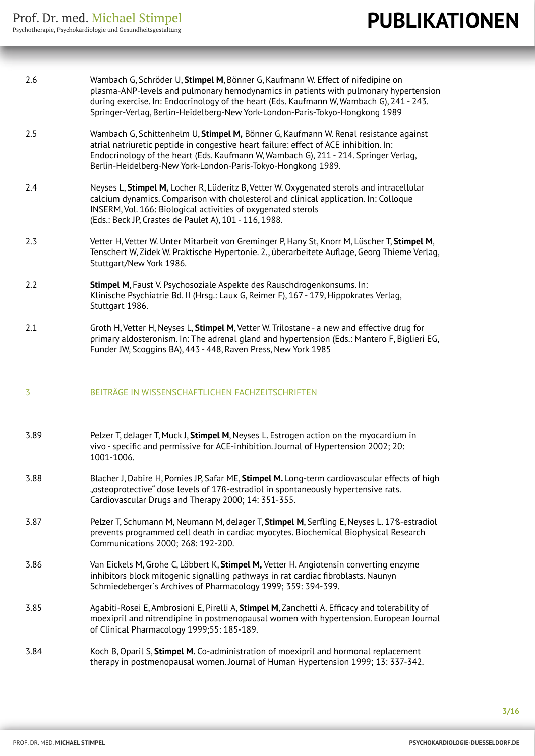| 2.6  | Wambach G, Schröder U, Stimpel M, Bönner G, Kaufmann W. Effect of nifedipine on<br>plasma-ANP-levels and pulmonary hemodynamics in patients with pulmonary hypertension<br>during exercise. In: Endocrinology of the heart (Eds. Kaufmann W, Wambach G), 241 - 243.<br>Springer-Verlag, Berlin-Heidelberg-New York-London-Paris-Tokyo-Hongkong 1989 |
|------|-----------------------------------------------------------------------------------------------------------------------------------------------------------------------------------------------------------------------------------------------------------------------------------------------------------------------------------------------------|
| 2.5  | Wambach G, Schittenhelm U, Stimpel M, Bönner G, Kaufmann W. Renal resistance against<br>atrial natriuretic peptide in congestive heart failure: effect of ACE inhibition. In:<br>Endocrinology of the heart (Eds. Kaufmann W, Wambach G), 211 - 214. Springer Verlag,<br>Berlin-Heidelberg-New York-London-Paris-Tokyo-Hongkong 1989.               |
| 2.4  | Neyses L, Stimpel M, Locher R, Lüderitz B, Vetter W. Oxygenated sterols and intracellular<br>calcium dynamics. Comparison with cholesterol and clinical application. In: Colloque<br>INSERM, Vol. 166: Biological activities of oxygenated sterols<br>(Eds.: Beck JP, Crastes de Paulet A), 101 - 116, 1988.                                        |
| 2.3  | Vetter H, Vetter W. Unter Mitarbeit von Greminger P, Hany St, Knorr M, Lüscher T, Stimpel M,<br>Tenschert W, Zidek W. Praktische Hypertonie. 2., überarbeitete Auflage, Georg Thieme Verlag,<br>Stuttgart/New York 1986.                                                                                                                            |
| 2.2  | Stimpel M, Faust V. Psychosoziale Aspekte des Rauschdrogenkonsums. In:<br>Klinische Psychiatrie Bd. II (Hrsq.: Laux G, Reimer F), 167 - 179, Hippokrates Verlag,<br>Stuttgart 1986.                                                                                                                                                                 |
| 2.1  | Groth H, Vetter H, Neyses L, Stimpel M, Vetter W. Trilostane - a new and effective drug for<br>primary aldosteronism. In: The adrenal gland and hypertension (Eds.: Mantero F, Biglieri EG,<br>Funder JW, Scoggins BA), 443 - 448, Raven Press, New York 1985                                                                                       |
| 3    | BEITRÄGE IN WISSENSCHAFTLICHEN FACHZEITSCHRIFTEN                                                                                                                                                                                                                                                                                                    |
| 3.89 | Pelzer T, delager T, Muck J, Stimpel M, Neyses L. Estrogen action on the myocardium in<br>vivo - specific and permissive for ACE-inhibition. Journal of Hypertension 2002; 20:<br>1001-1006.                                                                                                                                                        |
| 3.88 | Blacher J, Dabire H, Pomies JP, Safar ME, Stimpel M. Long-term cardiovascular effects of high<br>"osteoprotective" dose levels of 17ß-estradiol in spontaneously hypertensive rats.<br>Cardiovascular Drugs and Therapy 2000; 14: 351-355.                                                                                                          |
| 3.87 | Pelzer T, Schumann M, Neumann M, deJager T, Stimpel M, Serfling E, Neyses L. 178-estradiol<br>prevents programmed cell death in cardiac myocytes. Biochemical Biophysical Research<br>Communications 2000; 268: 192-200.                                                                                                                            |
| 3.86 | Van Eickels M, Grohe C, Löbbert K, Stimpel M, Vetter H. Angiotensin converting enzyme<br>inhibitors block mitogenic signalling pathways in rat cardiac fibroblasts. Naunyn<br>Schmiedeberger's Archives of Pharmacology 1999; 359: 394-399.                                                                                                         |
| 3.85 | Agabiti-Rosei E, Ambrosioni E, Pirelli A, Stimpel M, Zanchetti A. Efficacy and tolerability of<br>moexipril and nitrendipine in postmenopausal women with hypertension. European Journal<br>of Clinical Pharmacology 1999;55: 185-189.                                                                                                              |
| 3.84 | Koch B, Oparil S, Stimpel M. Co-administration of moexipril and hormonal replacement<br>therapy in postmenopausal women. Journal of Human Hypertension 1999; 13: 337-342.                                                                                                                                                                           |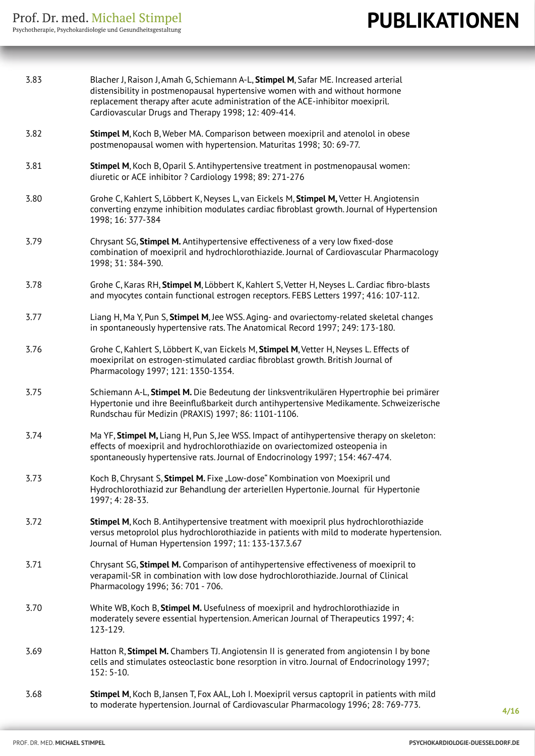| 3.83 | Blacher J, Raison J, Amah G, Schiemann A-L, Stimpel M, Safar ME. Increased arterial<br>distensibility in postmenopausal hypertensive women with and without hormone<br>replacement therapy after acute administration of the ACE-inhibitor moexipril.<br>Cardiovascular Drugs and Therapy 1998; 12: 409-414. |
|------|--------------------------------------------------------------------------------------------------------------------------------------------------------------------------------------------------------------------------------------------------------------------------------------------------------------|
| 3.82 | Stimpel M, Koch B, Weber MA. Comparison between moexipril and atenolol in obese<br>postmenopausal women with hypertension. Maturitas 1998; 30: 69-77.                                                                                                                                                        |
| 3.81 | Stimpel M, Koch B, Oparil S. Antihypertensive treatment in postmenopausal women:<br>diuretic or ACE inhibitor ? Cardiology 1998; 89: 271-276                                                                                                                                                                 |
| 3.80 | Grohe C, Kahlert S, Löbbert K, Neyses L, van Eickels M, Stimpel M, Vetter H. Angiotensin<br>converting enzyme inhibition modulates cardiac fibroblast growth. Journal of Hypertension<br>1998; 16: 377-384                                                                                                   |
| 3.79 | Chrysant SG, Stimpel M. Antihypertensive effectiveness of a very low fixed-dose<br>combination of moexipril and hydrochlorothiazide. Journal of Cardiovascular Pharmacology<br>1998; 31: 384-390.                                                                                                            |
| 3.78 | Grohe C, Karas RH, Stimpel M, Löbbert K, Kahlert S, Vetter H, Neyses L. Cardiac fibro-blasts<br>and myocytes contain functional estrogen receptors. FEBS Letters 1997; 416: 107-112.                                                                                                                         |
| 3.77 | Liang H, Ma Y, Pun S, Stimpel M, Jee WSS. Aging- and ovariectomy-related skeletal changes<br>in spontaneously hypertensive rats. The Anatomical Record 1997; 249: 173-180.                                                                                                                                   |
| 3.76 | Grohe C, Kahlert S, Löbbert K, van Eickels M, Stimpel M, Vetter H, Neyses L. Effects of<br>moexiprilat on estrogen-stimulated cardiac fibroblast growth. British Journal of<br>Pharmacology 1997; 121: 1350-1354.                                                                                            |
| 3.75 | Schiemann A-L, Stimpel M. Die Bedeutung der linksventrikulären Hypertrophie bei primärer<br>Hypertonie und ihre Beeinflußbarkeit durch antihypertensive Medikamente. Schweizerische<br>Rundschau für Medizin (PRAXIS) 1997; 86: 1101-1106.                                                                   |
| 3.74 | Ma YF, Stimpel M, Liang H, Pun S, Jee WSS. Impact of antihypertensive therapy on skeleton:<br>effects of moexipril and hydrochlorothiazide on ovariectomized osteopenia in<br>spontaneously hypertensive rats. Journal of Endocrinology 1997; 154: 467-474.                                                  |
| 3.73 | Koch B, Chrysant S, Stimpel M. Fixe "Low-dose" Kombination von Moexipril und<br>Hydrochlorothiazid zur Behandlung der arteriellen Hypertonie. Journal für Hypertonie<br>1997; 4: 28-33.                                                                                                                      |
| 3.72 | Stimpel M, Koch B. Antihypertensive treatment with moexipril plus hydrochlorothiazide<br>versus metoprolol plus hydrochlorothiazide in patients with mild to moderate hypertension.<br>Journal of Human Hypertension 1997; 11: 133-137.3.67                                                                  |
| 3.71 | Chrysant SG, Stimpel M. Comparison of antihypertensive effectiveness of moexipril to<br>verapamil-SR in combination with low dose hydrochlorothiazide. Journal of Clinical<br>Pharmacology 1996; 36: 701 - 706.                                                                                              |
| 3.70 | White WB, Koch B, Stimpel M. Usefulness of moexipril and hydrochlorothiazide in<br>moderately severe essential hypertension. American Journal of Therapeutics 1997; 4:<br>123-129.                                                                                                                           |
| 3.69 | Hatton R, Stimpel M. Chambers TJ. Angiotensin II is generated from angiotensin I by bone<br>cells and stimulates osteoclastic bone resorption in vitro. Journal of Endocrinology 1997;<br>$152:5-10.$                                                                                                        |
| 3.68 | Stimpel M, Koch B, Jansen T, Fox AAL, Loh I. Moexipril versus captopril in patients with mild<br>to moderate hypertension. Journal of Cardiovascular Pharmacology 1996; 28: 769-773.                                                                                                                         |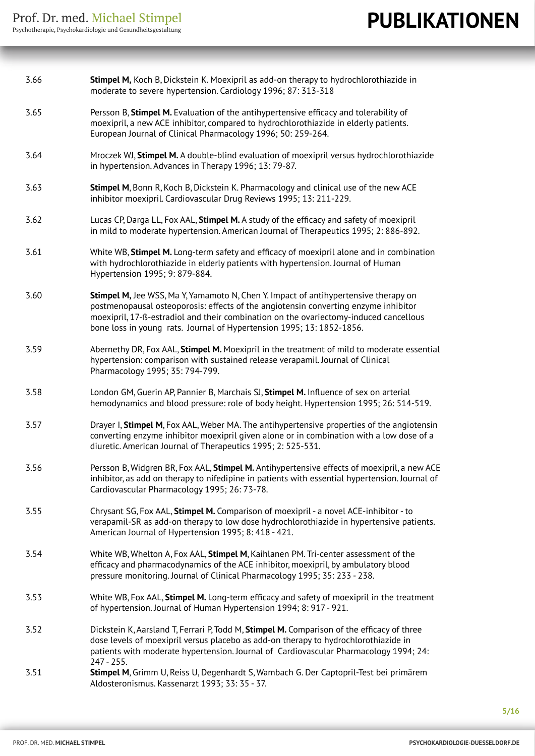| 3.66 | Stimpel M, Koch B, Dickstein K. Moexipril as add-on therapy to hydrochlorothiazide in<br>moderate to severe hypertension. Cardiology 1996; 87: 313-318                                                                                                                                                                                       |
|------|----------------------------------------------------------------------------------------------------------------------------------------------------------------------------------------------------------------------------------------------------------------------------------------------------------------------------------------------|
| 3.65 | Persson B, Stimpel M. Evaluation of the antihypertensive efficacy and tolerability of<br>moexipril, a new ACE inhibitor, compared to hydrochlorothiazide in elderly patients.<br>European Journal of Clinical Pharmacology 1996; 50: 259-264.                                                                                                |
| 3.64 | Mroczek WJ, Stimpel M. A double-blind evaluation of moexipril versus hydrochlorothiazide<br>in hypertension. Advances in Therapy 1996; 13: 79-87.                                                                                                                                                                                            |
| 3.63 | Stimpel M, Bonn R, Koch B, Dickstein K. Pharmacology and clinical use of the new ACE<br>inhibitor moexipril. Cardiovascular Drug Reviews 1995; 13: 211-229.                                                                                                                                                                                  |
| 3.62 | Lucas CP, Darga LL, Fox AAL, Stimpel M. A study of the efficacy and safety of moexipril<br>in mild to moderate hypertension. American Journal of Therapeutics 1995; 2: 886-892.                                                                                                                                                              |
| 3.61 | White WB, Stimpel M. Long-term safety and efficacy of moexipril alone and in combination<br>with hydrochlorothiazide in elderly patients with hypertension. Journal of Human<br>Hypertension 1995; 9: 879-884.                                                                                                                               |
| 3.60 | Stimpel M, Jee WSS, Ma Y, Yamamoto N, Chen Y. Impact of antihypertensive therapy on<br>postmenopausal osteoporosis: effects of the angiotensin converting enzyme inhibitor<br>moexipril, 17-ß-estradiol and their combination on the ovariectomy-induced cancellous<br>bone loss in young rats. Journal of Hypertension 1995; 13: 1852-1856. |
| 3.59 | Abernethy DR, Fox AAL, Stimpel M. Moexipril in the treatment of mild to moderate essential<br>hypertension: comparison with sustained release verapamil. Journal of Clinical<br>Pharmacology 1995; 35: 794-799.                                                                                                                              |
| 3.58 | London GM, Guerin AP, Pannier B, Marchais SJ, Stimpel M. Influence of sex on arterial<br>hemodynamics and blood pressure: role of body height. Hypertension 1995; 26: 514-519.                                                                                                                                                               |
| 3.57 | Drayer I, Stimpel M, Fox AAL, Weber MA. The antihypertensive properties of the angiotensin<br>converting enzyme inhibitor moexipril given alone or in combination with a low dose of a<br>diuretic. American Journal of Therapeutics 1995; 2: 525-531.                                                                                       |
| 3.56 | Persson B, Widgren BR, Fox AAL, Stimpel M. Antihypertensive effects of moexipril, a new ACE<br>inhibitor, as add on therapy to nifedipine in patients with essential hypertension. Journal of<br>Cardiovascular Pharmacology 1995; 26: 73-78.                                                                                                |
| 3.55 | Chrysant SG, Fox AAL, Stimpel M. Comparison of moexipril - a novel ACE-inhibitor - to<br>verapamil-SR as add-on therapy to low dose hydrochlorothiazide in hypertensive patients.<br>American Journal of Hypertension 1995; 8: 418 - 421.                                                                                                    |
| 3.54 | White WB, Whelton A, Fox AAL, Stimpel M, Kaihlanen PM. Tri-center assessment of the<br>efficacy and pharmacodynamics of the ACE inhibitor, moexipril, by ambulatory blood<br>pressure monitoring. Journal of Clinical Pharmacology 1995; 35: 233 - 238.                                                                                      |
| 3.53 | White WB, Fox AAL, Stimpel M. Long-term efficacy and safety of moexipril in the treatment<br>of hypertension. Journal of Human Hypertension 1994; 8: 917 - 921.                                                                                                                                                                              |
| 3.52 | Dickstein K, Aarsland T, Ferrari P, Todd M, Stimpel M. Comparison of the efficacy of three<br>dose levels of moexipril versus placebo as add-on therapy to hydrochlorothiazide in<br>patients with moderate hypertension. Journal of Cardiovascular Pharmacology 1994; 24:<br>$247 - 255.$                                                   |
| 3.51 | Stimpel M, Grimm U, Reiss U, Degenhardt S, Wambach G. Der Captopril-Test bei primärem<br>Aldosteronismus. Kassenarzt 1993; 33: 35 - 37.                                                                                                                                                                                                      |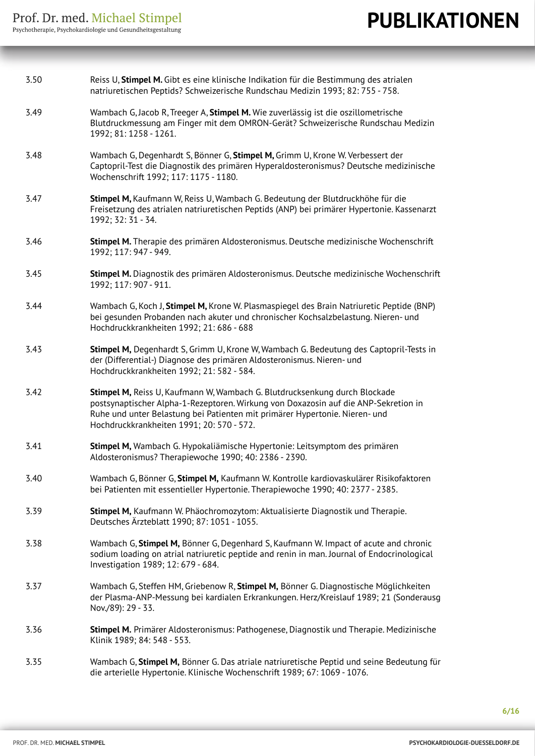| 3.50 | Reiss U, Stimpel M. Gibt es eine klinische Indikation für die Bestimmung des atrialen<br>natriuretischen Peptids? Schweizerische Rundschau Medizin 1993; 82: 755 - 758.                                                                                                                       |
|------|-----------------------------------------------------------------------------------------------------------------------------------------------------------------------------------------------------------------------------------------------------------------------------------------------|
| 3.49 | Wambach G, Jacob R, Treeger A, Stimpel M. Wie zuverlässig ist die oszillometrische<br>Blutdruckmessung am Finger mit dem OMRON-Gerät? Schweizerische Rundschau Medizin<br>1992; 81: 1258 - 1261.                                                                                              |
| 3.48 | Wambach G, Degenhardt S, Bönner G, Stimpel M, Grimm U, Krone W. Verbessert der<br>Captopril-Test die Diagnostik des primären Hyperaldosteronismus? Deutsche medizinische<br>Wochenschrift 1992; 117: 1175 - 1180.                                                                             |
| 3.47 | Stimpel M, Kaufmann W, Reiss U, Wambach G. Bedeutung der Blutdruckhöhe für die<br>Freisetzung des atrialen natriuretischen Peptids (ANP) bei primärer Hypertonie. Kassenarzt<br>1992; 32: 31 - 34.                                                                                            |
| 3.46 | Stimpel M. Therapie des primären Aldosteronismus. Deutsche medizinische Wochenschrift<br>1992; 117: 947 - 949.                                                                                                                                                                                |
| 3.45 | Stimpel M. Diagnostik des primären Aldosteronismus. Deutsche medizinische Wochenschrift<br>1992; 117: 907 - 911.                                                                                                                                                                              |
| 3.44 | Wambach G, Koch J, Stimpel M, Krone W. Plasmaspiegel des Brain Natriuretic Peptide (BNP)<br>bei gesunden Probanden nach akuter und chronischer Kochsalzbelastung. Nieren- und<br>Hochdruckkrankheiten 1992; 21: 686 - 688                                                                     |
| 3.43 | Stimpel M, Degenhardt S, Grimm U, Krone W, Wambach G. Bedeutung des Captopril-Tests in<br>der (Differential-) Diagnose des primären Aldosteronismus. Nieren- und<br>Hochdruckkrankheiten 1992; 21: 582 - 584.                                                                                 |
| 3.42 | Stimpel M, Reiss U, Kaufmann W, Wambach G. Blutdrucksenkung durch Blockade<br>postsynaptischer Alpha-1-Rezeptoren. Wirkung von Doxazosin auf die ANP-Sekretion in<br>Ruhe und unter Belastung bei Patienten mit primärer Hypertonie. Nieren- und<br>Hochdruckkrankheiten 1991; 20: 570 - 572. |
| 3.41 | Stimpel M, Wambach G. Hypokaliämische Hypertonie: Leitsymptom des primären<br>Aldosteronismus? Therapiewoche 1990; 40: 2386 - 2390.                                                                                                                                                           |
| 3.40 | Wambach G, Bönner G, Stimpel M, Kaufmann W. Kontrolle kardiovaskulärer Risikofaktoren<br>bei Patienten mit essentieller Hypertonie. Therapiewoche 1990; 40: 2377 - 2385.                                                                                                                      |
| 3.39 | Stimpel M, Kaufmann W. Phäochromozytom: Aktualisierte Diagnostik und Therapie.<br>Deutsches Ärzteblatt 1990; 87: 1051 - 1055.                                                                                                                                                                 |
| 3.38 | Wambach G, Stimpel M, Bönner G, Degenhard S, Kaufmann W. Impact of acute and chronic<br>sodium loading on atrial natriuretic peptide and renin in man. Journal of Endocrinological<br>Investigation 1989; 12: 679 - 684.                                                                      |
| 3.37 | Wambach G, Steffen HM, Griebenow R, Stimpel M, Bönner G. Diagnostische Möglichkeiten<br>der Plasma-ANP-Messung bei kardialen Erkrankungen. Herz/Kreislauf 1989; 21 (Sonderausg<br>Nov./89): 29 - 33.                                                                                          |
| 3.36 | Stimpel M. Primärer Aldosteronismus: Pathogenese, Diagnostik und Therapie. Medizinische<br>Klinik 1989; 84: 548 - 553.                                                                                                                                                                        |
| 3.35 | Wambach G, Stimpel M, Bönner G. Das atriale natriuretische Peptid und seine Bedeutung für<br>die arterielle Hypertonie. Klinische Wochenschrift 1989; 67: 1069 - 1076.                                                                                                                        |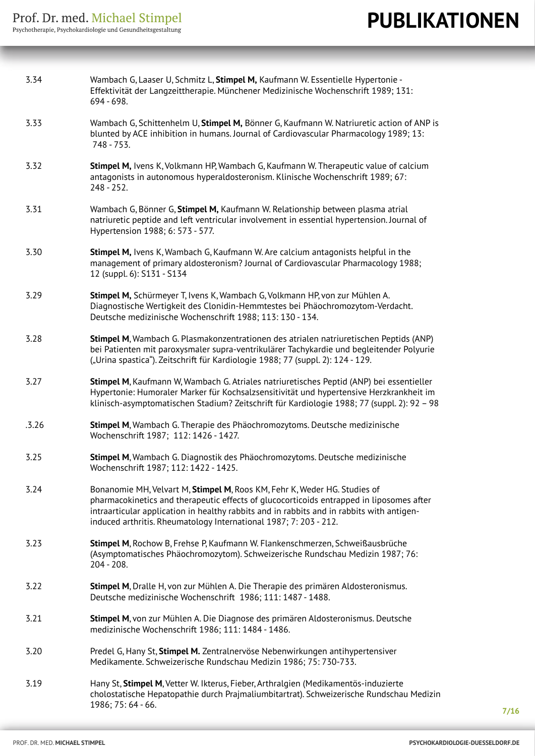| 3.34  | Wambach G, Laaser U, Schmitz L, Stimpel M, Kaufmann W. Essentielle Hypertonie -<br>Effektivität der Langzeittherapie. Münchener Medizinische Wochenschrift 1989; 131:<br>694 - 698.                                                                                                                                                     |
|-------|-----------------------------------------------------------------------------------------------------------------------------------------------------------------------------------------------------------------------------------------------------------------------------------------------------------------------------------------|
| 3.33  | Wambach G, Schittenhelm U, Stimpel M, Bönner G, Kaufmann W. Natriuretic action of ANP is<br>blunted by ACE inhibition in humans. Journal of Cardiovascular Pharmacology 1989; 13:<br>748 - 753.                                                                                                                                         |
| 3.32  | Stimpel M, Ivens K, Volkmann HP, Wambach G, Kaufmann W. Therapeutic value of calcium<br>antagonists in autonomous hyperaldosteronism. Klinische Wochenschrift 1989; 67:<br>$248 - 252.$                                                                                                                                                 |
| 3.31  | Wambach G, Bönner G, Stimpel M, Kaufmann W. Relationship between plasma atrial<br>natriuretic peptide and left ventricular involvement in essential hypertension. Journal of<br>Hypertension 1988; 6: 573 - 577.                                                                                                                        |
| 3.30  | Stimpel M, Ivens K, Wambach G, Kaufmann W. Are calcium antagonists helpful in the<br>management of primary aldosteronism? Journal of Cardiovascular Pharmacology 1988;<br>12 (suppl. 6): S131 - S134                                                                                                                                    |
| 3.29  | Stimpel M, Schürmeyer T, Ivens K, Wambach G, Volkmann HP, von zur Mühlen A.<br>Diagnostische Wertigkeit des Clonidin-Hemmtestes bei Phäochromozytom-Verdacht.<br>Deutsche medizinische Wochenschrift 1988; 113: 130 - 134.                                                                                                              |
| 3.28  | Stimpel M, Wambach G. Plasmakonzentrationen des atrialen natriuretischen Peptids (ANP)<br>bei Patienten mit paroxysmaler supra-ventrikulärer Tachykardie und begleitender Polyurie<br>("Urina spastica"). Zeitschrift für Kardiologie 1988; 77 (suppl. 2): 124 - 129.                                                                   |
| 3.27  | Stimpel M, Kaufmann W, Wambach G. Atriales natriuretisches Peptid (ANP) bei essentieller<br>Hypertonie: Humoraler Marker für Kochsalzsensitivität und hypertensive Herzkrankheit im<br>klinisch-asymptomatischen Stadium? Zeitschrift für Kardiologie 1988; 77 (suppl. 2): 92 - 98                                                      |
| .3.26 | Stimpel M, Wambach G. Therapie des Phäochromozytoms. Deutsche medizinische<br>Wochenschrift 1987; 112: 1426 - 1427.                                                                                                                                                                                                                     |
| 3.25  | Stimpel M, Wambach G. Diagnostik des Phäochromozytoms. Deutsche medizinische<br>Wochenschrift 1987; 112: 1422 - 1425.                                                                                                                                                                                                                   |
| 3.24  | Bonanomie MH, Velvart M, Stimpel M, Roos KM, Fehr K, Weder HG. Studies of<br>pharmacokinetics and therapeutic effects of glucocorticoids entrapped in liposomes after<br>intraarticular application in healthy rabbits and in rabbits and in rabbits with antigen-<br>induced arthritis. Rheumatology International 1987; 7: 203 - 212. |
| 3.23  | Stimpel M, Rochow B, Frehse P, Kaufmann W. Flankenschmerzen, Schweißausbrüche<br>(Asymptomatisches Phäochromozytom). Schweizerische Rundschau Medizin 1987; 76:<br>204 - 208.                                                                                                                                                           |
| 3.22  | Stimpel M, Dralle H, von zur Mühlen A. Die Therapie des primären Aldosteronismus.<br>Deutsche medizinische Wochenschrift 1986; 111: 1487 - 1488.                                                                                                                                                                                        |
| 3.21  | Stimpel M, von zur Mühlen A. Die Diagnose des primären Aldosteronismus. Deutsche<br>medizinische Wochenschrift 1986; 111: 1484 - 1486.                                                                                                                                                                                                  |
| 3.20  | Predel G, Hany St, Stimpel M. Zentralnervöse Nebenwirkungen antihypertensiver<br>Medikamente. Schweizerische Rundschau Medizin 1986; 75: 730-733.                                                                                                                                                                                       |
| 3.19  | Hany St, Stimpel M, Vetter W. Ikterus, Fieber, Arthralgien (Medikamentös-induzierte<br>cholostatische Hepatopathie durch Prajmaliumbitartrat). Schweizerische Rundschau Medizin<br>1986; 75: 64 - 66.                                                                                                                                   |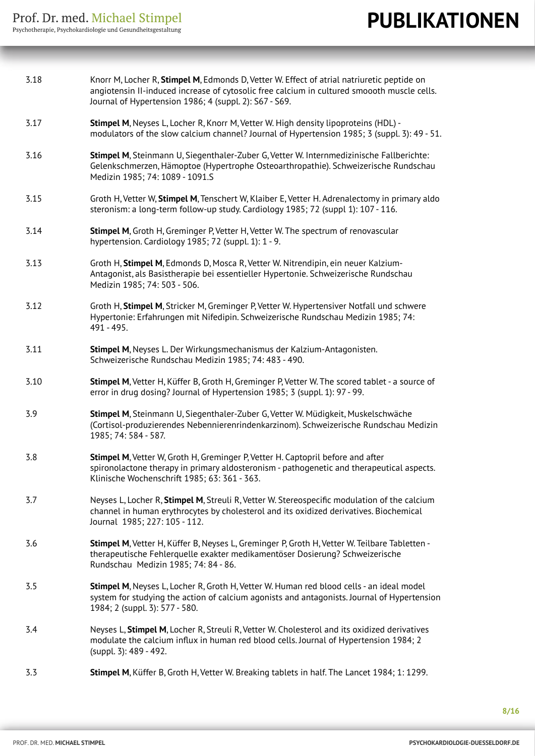| 3.18 | Knorr M, Locher R, Stimpel M, Edmonds D, Vetter W. Effect of atrial natriuretic peptide on<br>angiotensin II-induced increase of cytosolic free calcium in cultured smoooth muscle cells.<br>Journal of Hypertension 1986; 4 (suppl. 2): S67 - S69. |
|------|-----------------------------------------------------------------------------------------------------------------------------------------------------------------------------------------------------------------------------------------------------|
| 3.17 | Stimpel M, Neyses L, Locher R, Knorr M, Vetter W. High density lipoproteins (HDL) -<br>modulators of the slow calcium channel? Journal of Hypertension 1985; 3 (suppl. 3): 49 - 51.                                                                 |
| 3.16 | Stimpel M, Steinmann U, Siegenthaler-Zuber G, Vetter W. Internmedizinische Fallberichte:<br>Gelenkschmerzen, Hämoptoe (Hypertrophe Osteoarthropathie). Schweizerische Rundschau<br>Medizin 1985; 74: 1089 - 1091.S                                  |
| 3.15 | Groth H, Vetter W, Stimpel M, Tenschert W, Klaiber E, Vetter H. Adrenalectomy in primary aldo<br>steronism: a long-term follow-up study. Cardiology 1985; 72 (suppl 1): 107 - 116.                                                                  |
| 3.14 | Stimpel M, Groth H, Greminger P, Vetter H, Vetter W. The spectrum of renovascular<br>hypertension. Cardiology 1985; 72 (suppl. 1): 1 - 9.                                                                                                           |
| 3.13 | Groth H, Stimpel M, Edmonds D, Mosca R, Vetter W. Nitrendipin, ein neuer Kalzium-<br>Antagonist, als Basistherapie bei essentieller Hypertonie. Schweizerische Rundschau<br>Medizin 1985; 74: 503 - 506.                                            |
| 3.12 | Groth H, Stimpel M, Stricker M, Greminger P, Vetter W. Hypertensiver Notfall und schwere<br>Hypertonie: Erfahrungen mit Nifedipin. Schweizerische Rundschau Medizin 1985; 74:<br>491 - 495.                                                         |
| 3.11 | Stimpel M, Neyses L. Der Wirkungsmechanismus der Kalzium-Antagonisten.<br>Schweizerische Rundschau Medizin 1985; 74: 483 - 490.                                                                                                                     |
| 3.10 | Stimpel M, Vetter H, Küffer B, Groth H, Greminger P, Vetter W. The scored tablet - a source of<br>error in drug dosing? Journal of Hypertension 1985; 3 (suppl. 1): 97 - 99.                                                                        |
| 3.9  | Stimpel M, Steinmann U, Siegenthaler-Zuber G, Vetter W. Müdigkeit, Muskelschwäche<br>(Cortisol-produzierendes Nebennierenrindenkarzinom). Schweizerische Rundschau Medizin<br>1985; 74: 584 - 587.                                                  |
| 3.8  | Stimpel M, Vetter W, Groth H, Greminger P, Vetter H. Captopril before and after<br>spironolactone therapy in primary aldosteronism - pathogenetic and therapeutical aspects.<br>Klinische Wochenschrift 1985; 63: 361 - 363.                        |
| 3.7  | Neyses L, Locher R, Stimpel M, Streuli R, Vetter W. Stereospecific modulation of the calcium<br>channel in human erythrocytes by cholesterol and its oxidized derivatives. Biochemical<br>Journal 1985; 227: 105 - 112.                             |
| 3.6  | Stimpel M, Vetter H, Küffer B, Neyses L, Greminger P, Groth H, Vetter W. Teilbare Tabletten -<br>therapeutische Fehlerquelle exakter medikamentöser Dosierung? Schweizerische<br>Rundschau Medizin 1985; 74: 84 - 86.                               |
| 3.5  | Stimpel M, Neyses L, Locher R, Groth H, Vetter W. Human red blood cells - an ideal model<br>system for studying the action of calcium agonists and antagonists. Journal of Hypertension<br>1984; 2 (suppl. 3): 577 - 580.                           |
| 3.4  | Neyses L, Stimpel M, Locher R, Streuli R, Vetter W. Cholesterol and its oxidized derivatives<br>modulate the calcium influx in human red blood cells. Journal of Hypertension 1984; 2<br>(suppl. 3): 489 - 492.                                     |
| 3.3  | Stimpel M, Küffer B, Groth H, Vetter W. Breaking tablets in half. The Lancet 1984; 1: 1299.                                                                                                                                                         |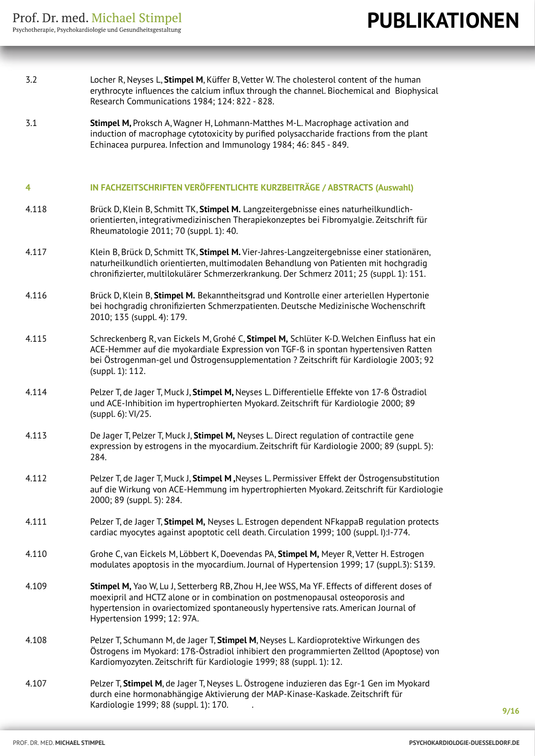- 3.2 Locher R, Neyses L, **Stimpel M**, Küffer B, Vetter W. The cholesterol content of the human erythrocyte influences the calcium influx through the channel. Biochemical and Biophysical Research Communications 1984; 124: 822 - 828.
- 3.1 **Stimpel M,** Proksch A, Wagner H, Lohmann-Matthes M-L. Macrophage activation and induction of macrophage cytotoxicity by purified polysaccharide fractions from the plant Echinacea purpurea. Infection and Immunology 1984; 46: 845 - 849.

#### **4 IN FACHZEITSCHRIFTEN VERÖFFENTLICHTE KURZBEITRÄGE / ABSTRACTS (Auswahl)**

- 4.118 Brück D, Klein B, Schmitt TK, **Stimpel M.** Langzeitergebnisse eines naturheilkundlich orientierten, integrativmedizinischen Therapiekonzeptes bei Fibromyalgie. Zeitschrift für Rheumatologie 2011; 70 (suppl. 1): 40.
- 4.117 Klein B, Brück D, Schmitt TK, **Stimpel M.** Vier-Jahres-Langzeitergebnisse einer stationären, naturheilkundlich orientierten, multimodalen Behandlung von Patienten mit hochgradig chronifizierter, multilokulärer Schmerzerkrankung. Der Schmerz 2011; 25 (suppl. 1): 151.
- 4.116 Brück D, Klein B, **Stimpel M.** Bekanntheitsgrad und Kontrolle einer arteriellen Hypertonie bei hochgradig chronifizierten Schmerzpatienten. Deutsche Medizinische Wochenschrift 2010; 135 (suppl. 4): 179.
- 4.115 Schreckenberg R, van Eickels M, Grohé C, **Stimpel M,** Schlüter K-D. Welchen Einfluss hat ein ACE-Hemmer auf die myokardiale Expression von TGF-ß in spontan hypertensiven Ratten bei Östrogenman-gel und Östrogensupplementation ? Zeitschrift für Kardiologie 2003; 92 (suppl. 1): 112.
- 4.114 Pelzer T, de Jager T, Muck J, **Stimpel M,** Neyses L. Differentielle Effekte von 17-ß Östradiol und ACE-Inhibition im hypertrophierten Myokard. Zeitschrift für Kardiologie 2000; 89 (suppl. 6): VI/25.
- 4.113 De Jager T, Pelzer T, Muck J, **Stimpel M,** Neyses L. Direct regulation of contractile gene expression by estrogens in the myocardium. Zeitschrift für Kardiologie 2000; 89 (suppl. 5): 284.
- 4.112 Pelzer T, de Jager T, Muck J, **Stimpel M ,**Neyses L. Permissiver Effekt der Östrogensubstitution auf die Wirkung von ACE-Hemmung im hypertrophierten Myokard. Zeitschrift für Kardiologie 2000; 89 (suppl. 5): 284.
- 4.111 Pelzer T, de Jager T, **Stimpel M,** Neyses L. Estrogen dependent NFkappaB regulation protects cardiac myocytes against apoptotic cell death. Circulation 1999; 100 (suppl. I):I-774.
- 4.110 Grohe C, van Eickels M, Löbbert K, Doevendas PA, **Stimpel M,** Meyer R, Vetter H. Estrogen modulates apoptosis in the myocardium. Journal of Hypertension 1999; 17 (suppl.3): S139.
- 4.109 **Stimpel M,** Yao W, Lu J, Setterberg RB, Zhou H, Jee WSS, Ma YF. Effects of different doses of moexipril and HCTZ alone or in combination on postmenopausal osteoporosis and hypertension in ovariectomized spontaneously hypertensive rats. American Journal of Hypertension 1999; 12: 97A.
- 4.108 Pelzer T, Schumann M, de Jager T, **Stimpel M**, Neyses L. Kardioprotektive Wirkungen des Östrogens im Myokard: 17ß-Östradiol inhibiert den programmierten Zelltod (Apoptose) von Kardiomyozyten. Zeitschrift für Kardiologie 1999; 88 (suppl. 1): 12.
- 4.107 Pelzer T, **Stimpel M**, de Jager T, Neyses L. Östrogene induzieren das Egr-1 Gen im Myokard durch eine hormonabhängige Aktivierung der MAP-Kinase-Kaskade. Zeitschrift für Kardiologie 1999; 88 (suppl. 1): 170. .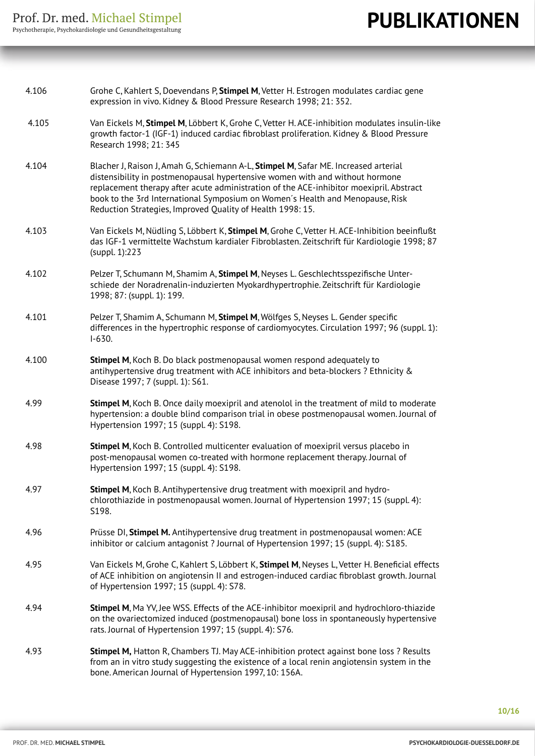| 4.106 | Grohe C, Kahlert S, Doevendans P, Stimpel M, Vetter H. Estrogen modulates cardiac gene<br>expression in vivo. Kidney & Blood Pressure Research 1998; 21: 352.                                                                                                                                                                                                                                                 |
|-------|---------------------------------------------------------------------------------------------------------------------------------------------------------------------------------------------------------------------------------------------------------------------------------------------------------------------------------------------------------------------------------------------------------------|
| 4.105 | Van Eickels M, Stimpel M, Löbbert K, Grohe C, Vetter H. ACE-inhibition modulates insulin-like<br>growth factor-1 (IGF-1) induced cardiac fibroblast proliferation. Kidney & Blood Pressure<br>Research 1998; 21: 345                                                                                                                                                                                          |
| 4.104 | Blacher J, Raison J, Amah G, Schiemann A-L, Stimpel M, Safar ME. Increased arterial<br>distensibility in postmenopausal hypertensive women with and without hormone<br>replacement therapy after acute administration of the ACE-inhibitor moexipril. Abstract<br>book to the 3rd International Symposium on Women's Health and Menopause, Risk<br>Reduction Strategies, Improved Quality of Health 1998: 15. |
| 4.103 | Van Eickels M, Nüdling S, Löbbert K, Stimpel M, Grohe C, Vetter H. ACE-Inhibition beeinflußt<br>das IGF-1 vermittelte Wachstum kardialer Fibroblasten. Zeitschrift für Kardiologie 1998; 87<br>(suppl. 1):223                                                                                                                                                                                                 |
| 4.102 | Pelzer T, Schumann M, Shamim A, Stimpel M, Neyses L. Geschlechtsspezifische Unter-<br>schiede der Noradrenalin-induzierten Myokardhypertrophie. Zeitschrift für Kardiologie<br>1998; 87: (suppl. 1): 199.                                                                                                                                                                                                     |
| 4.101 | Pelzer T, Shamim A, Schumann M, Stimpel M, Wölfges S, Neyses L. Gender specific<br>differences in the hypertrophic response of cardiomyocytes. Circulation 1997; 96 (suppl. 1):<br>$I-630.$                                                                                                                                                                                                                   |
| 4.100 | Stimpel M, Koch B. Do black postmenopausal women respond adequately to<br>antihypertensive drug treatment with ACE inhibitors and beta-blockers ? Ethnicity &<br>Disease 1997; 7 (suppl. 1): S61.                                                                                                                                                                                                             |
| 4.99  | <b>Stimpel M, Koch B. Once daily moexipril and atenolol in the treatment of mild to moderate</b><br>hypertension: a double blind comparison trial in obese postmenopausal women. Journal of<br>Hypertension 1997; 15 (suppl. 4): S198.                                                                                                                                                                        |
| 4.98  | Stimpel M, Koch B. Controlled multicenter evaluation of moexipril versus placebo in<br>post-menopausal women co-treated with hormone replacement therapy. Journal of<br>Hypertension 1997; 15 (suppl. 4): S198.                                                                                                                                                                                               |
| 4.97  | Stimpel M, Koch B. Antihypertensive drug treatment with moexipril and hydro-<br>chlorothiazide in postmenopausal women. Journal of Hypertension 1997; 15 (suppl. 4):<br>S198.                                                                                                                                                                                                                                 |
| 4.96  | Prüsse DI, Stimpel M. Antihypertensive drug treatment in postmenopausal women: ACE<br>inhibitor or calcium antagonist ? Journal of Hypertension 1997; 15 (suppl. 4): S185.                                                                                                                                                                                                                                    |
| 4.95  | Van Eickels M, Grohe C, Kahlert S, Löbbert K, Stimpel M, Neyses L, Vetter H. Beneficial effects<br>of ACE inhibition on angiotensin II and estrogen-induced cardiac fibroblast growth. Journal<br>of Hypertension 1997; 15 (suppl. 4): S78.                                                                                                                                                                   |
| 4.94  | Stimpel M, Ma YV, Jee WSS. Effects of the ACE-inhibitor moexipril and hydrochloro-thiazide<br>on the ovariectomized induced (postmenopausal) bone loss in spontaneously hypertensive<br>rats. Journal of Hypertension 1997; 15 (suppl. 4): S76.                                                                                                                                                               |
| 4.93  | Stimpel M, Hatton R, Chambers TJ. May ACE-inhibition protect against bone loss ? Results<br>from an in vitro study suggesting the existence of a local renin angiotensin system in the<br>bone. American Journal of Hypertension 1997, 10: 156A.                                                                                                                                                              |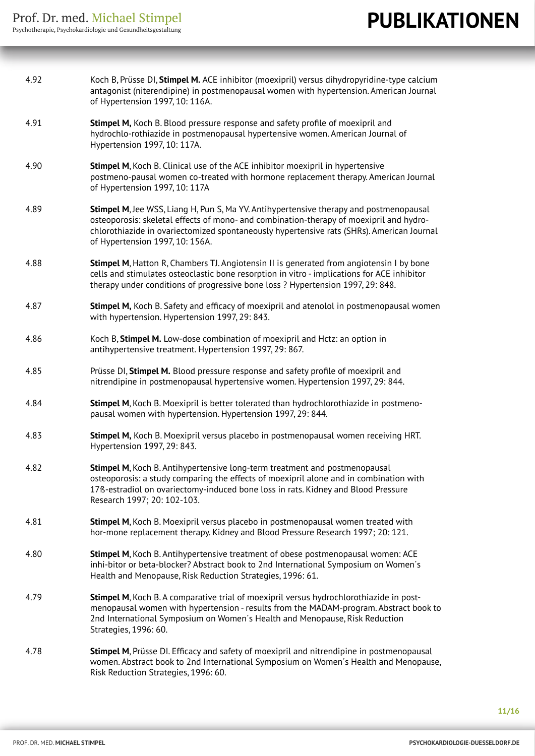| 4.92 | Koch B, Prüsse DI, Stimpel M. ACE inhibitor (moexipril) versus dihydropyridine-type calcium<br>antagonist (niterendipine) in postmenopausal women with hypertension. American Journal<br>of Hypertension 1997, 10: 116A.                                                                                          |
|------|-------------------------------------------------------------------------------------------------------------------------------------------------------------------------------------------------------------------------------------------------------------------------------------------------------------------|
| 4.91 | Stimpel M, Koch B. Blood pressure response and safety profile of moexipril and<br>hydrochlo-rothiazide in postmenopausal hypertensive women. American Journal of<br>Hypertension 1997, 10: 117A.                                                                                                                  |
| 4.90 | <b>Stimpel M, Koch B. Clinical use of the ACE inhibitor moexipril in hypertensive</b><br>postmeno-pausal women co-treated with hormone replacement therapy. American Journal<br>of Hypertension 1997, 10: 117A                                                                                                    |
| 4.89 | Stimpel M, Jee WSS, Liang H, Pun S, Ma YV. Antihypertensive therapy and postmenopausal<br>osteoporosis: skeletal effects of mono- and combination-therapy of moexipril and hydro-<br>chlorothiazide in ovariectomized spontaneously hypertensive rats (SHRs). American Journal<br>of Hypertension 1997, 10: 156A. |
| 4.88 | Stimpel M, Hatton R, Chambers TJ. Angiotensin II is generated from angiotensin I by bone<br>cells and stimulates osteoclastic bone resorption in vitro - implications for ACE inhibitor<br>therapy under conditions of progressive bone loss ? Hypertension 1997, 29: 848.                                        |
| 4.87 | Stimpel M, Koch B. Safety and efficacy of moexipril and atenolol in postmenopausal women<br>with hypertension. Hypertension 1997, 29: 843.                                                                                                                                                                        |
| 4.86 | Koch B, Stimpel M. Low-dose combination of moexipril and Hctz: an option in<br>antihypertensive treatment. Hypertension 1997, 29: 867.                                                                                                                                                                            |
| 4.85 | Prüsse DI, Stimpel M. Blood pressure response and safety profile of moexipril and<br>nitrendipine in postmenopausal hypertensive women. Hypertension 1997, 29: 844.                                                                                                                                               |
| 4.84 | Stimpel M, Koch B. Moexipril is better tolerated than hydrochlorothiazide in postmeno-<br>pausal women with hypertension. Hypertension 1997, 29: 844.                                                                                                                                                             |
| 4.83 | Stimpel M, Koch B. Moexipril versus placebo in postmenopausal women receiving HRT.<br>Hypertension 1997, 29: 843.                                                                                                                                                                                                 |
| 4.82 | <b>Stimpel M, Koch B. Antihypertensive long-term treatment and postmenopausal</b><br>osteoporosis: a study comparing the effects of moexipril alone and in combination with<br>17ß-estradiol on ovariectomy-induced bone loss in rats. Kidney and Blood Pressure<br>Research 1997; 20: 102-103.                   |
| 4.81 | Stimpel M, Koch B. Moexipril versus placebo in postmenopausal women treated with<br>hor-mone replacement therapy. Kidney and Blood Pressure Research 1997; 20: 121.                                                                                                                                               |
| 4.80 | Stimpel M, Koch B. Antihypertensive treatment of obese postmenopausal women: ACE<br>inhi-bitor or beta-blocker? Abstract book to 2nd International Symposium on Women's<br>Health and Menopause, Risk Reduction Strategies, 1996: 61.                                                                             |
| 4.79 | Stimpel M, Koch B. A comparative trial of moexipril versus hydrochlorothiazide in post-<br>menopausal women with hypertension - results from the MADAM-program. Abstract book to<br>2nd International Symposium on Women's Health and Menopause, Risk Reduction<br>Strategies, 1996: 60.                          |
| 4.78 | Stimpel M, Prüsse DI. Efficacy and safety of moexipril and nitrendipine in postmenopausal<br>women. Abstract book to 2nd International Symposium on Women's Health and Menopause,<br>Risk Reduction Strategies, 1996: 60.                                                                                         |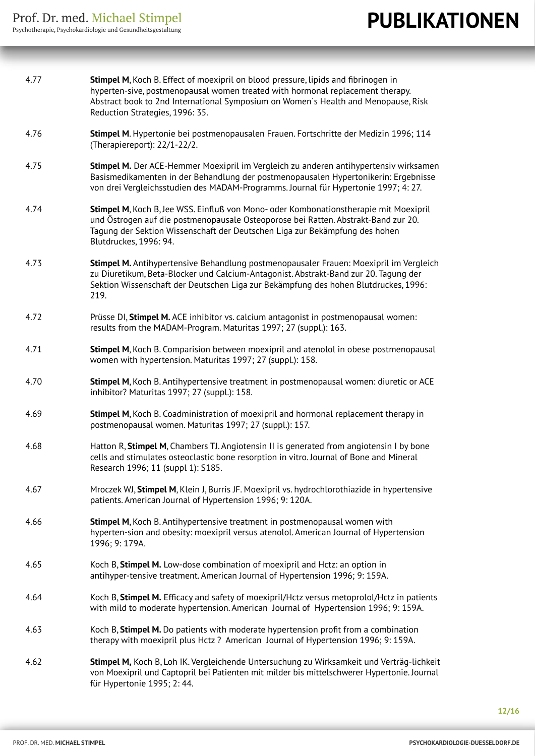| 4.77 | Stimpel M, Koch B. Effect of moexipril on blood pressure, lipids and fibrinogen in<br>hyperten-sive, postmenopausal women treated with hormonal replacement therapy.<br>Abstract book to 2nd International Symposium on Women's Health and Menopause, Risk<br>Reduction Strategies, 1996: 35. |
|------|-----------------------------------------------------------------------------------------------------------------------------------------------------------------------------------------------------------------------------------------------------------------------------------------------|
| 4.76 | Stimpel M. Hypertonie bei postmenopausalen Frauen. Fortschritte der Medizin 1996; 114<br>(Therapiereport): 22/1-22/2.                                                                                                                                                                         |
| 4.75 | Stimpel M. Der ACE-Hemmer Moexipril im Vergleich zu anderen antihypertensiv wirksamen<br>Basismedikamenten in der Behandlung der postmenopausalen Hypertonikerin: Ergebnisse<br>von drei Vergleichsstudien des MADAM-Programms. Journal für Hypertonie 1997; 4: 27.                           |
| 4.74 | Stimpel M, Koch B, Jee WSS. Einfluß von Mono- oder Kombonationstherapie mit Moexipril<br>und Östrogen auf die postmenopausale Osteoporose bei Ratten. Abstrakt-Band zur 20.<br>Tagung der Sektion Wissenschaft der Deutschen Liga zur Bekämpfung des hohen<br>Blutdruckes, 1996: 94.          |
| 4.73 | Stimpel M. Antihypertensive Behandlung postmenopausaler Frauen: Moexipril im Vergleich<br>zu Diuretikum, Beta-Blocker und Calcium-Antagonist. Abstrakt-Band zur 20. Tagung der<br>Sektion Wissenschaft der Deutschen Liga zur Bekämpfung des hohen Blutdruckes, 1996:<br>219.                 |
| 4.72 | Prüsse DI, Stimpel M. ACE inhibitor vs. calcium antagonist in postmenopausal women:<br>results from the MADAM-Program. Maturitas 1997; 27 (suppl.): 163.                                                                                                                                      |
| 4.71 | Stimpel M, Koch B. Comparision between moexipril and atenolol in obese postmenopausal<br>women with hypertension. Maturitas 1997; 27 (suppl.): 158.                                                                                                                                           |
| 4.70 | Stimpel M, Koch B. Antihypertensive treatment in postmenopausal women: diuretic or ACE<br>inhibitor? Maturitas 1997; 27 (suppl.): 158.                                                                                                                                                        |
| 4.69 | Stimpel M, Koch B. Coadministration of moexipril and hormonal replacement therapy in<br>postmenopausal women. Maturitas 1997; 27 (suppl.): 157.                                                                                                                                               |
| 4.68 | Hatton R, Stimpel M, Chambers TJ. Angiotensin II is generated from angiotensin I by bone<br>cells and stimulates osteoclastic bone resorption in vitro. Journal of Bone and Mineral<br>Research 1996; 11 (suppl 1): S185.                                                                     |
| 4.67 | Mroczek WJ, Stimpel M, Klein J, Burris JF. Moexipril vs. hydrochlorothiazide in hypertensive<br>patients. American Journal of Hypertension 1996; 9: 120A.                                                                                                                                     |
| 4.66 | Stimpel M, Koch B. Antihypertensive treatment in postmenopausal women with<br>hyperten-sion and obesity: moexipril versus atenolol. American Journal of Hypertension<br>1996; 9: 179A.                                                                                                        |
| 4.65 | Koch B, Stimpel M. Low-dose combination of moexipril and Hctz: an option in<br>antihyper-tensive treatment. American Journal of Hypertension 1996; 9: 159A.                                                                                                                                   |
| 4.64 | Koch B, Stimpel M. Efficacy and safety of moexipril/Hctz versus metoprolol/Hctz in patients<br>with mild to moderate hypertension. American Journal of Hypertension 1996; 9: 159A.                                                                                                            |
| 4.63 | Koch B, Stimpel M. Do patients with moderate hypertension profit from a combination<br>therapy with moexipril plus Hctz? American Journal of Hypertension 1996; 9: 159A.                                                                                                                      |
| 4.62 | Stimpel M, Koch B, Loh IK. Vergleichende Untersuchung zu Wirksamkeit und Verträg-lichkeit<br>von Moexipril und Captopril bei Patienten mit milder bis mittelschwerer Hypertonie. Journal<br>für Hypertonie 1995; 2: 44.                                                                       |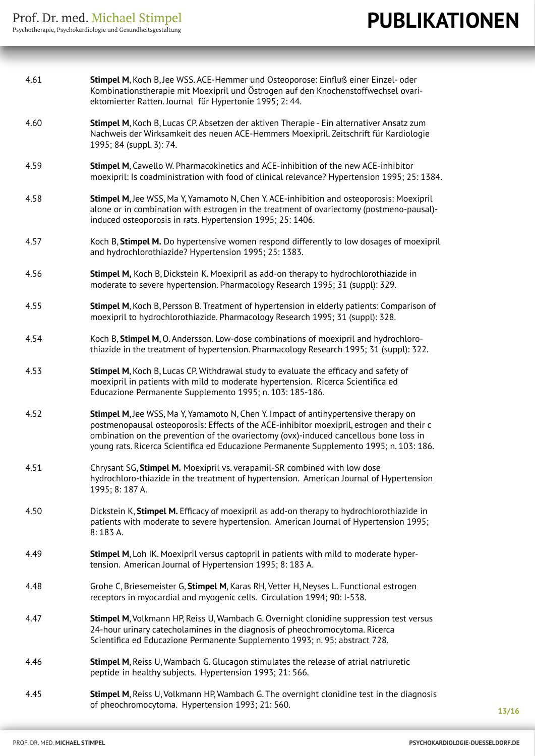| 4.61 | Stimpel M, Koch B, Jee WSS. ACE-Hemmer und Osteoporose: Einfluß einer Einzel- oder<br>Kombinationstherapie mit Moexipril und Östrogen auf den Knochenstoffwechsel ovari-<br>ektomierter Ratten. Journal für Hypertonie 1995; 2: 44.                                                                                                                                  |
|------|----------------------------------------------------------------------------------------------------------------------------------------------------------------------------------------------------------------------------------------------------------------------------------------------------------------------------------------------------------------------|
| 4.60 | Stimpel M, Koch B, Lucas CP. Absetzen der aktiven Therapie - Ein alternativer Ansatz zum<br>Nachweis der Wirksamkeit des neuen ACE-Hemmers Moexipril. Zeitschrift für Kardiologie<br>1995; 84 (suppl. 3): 74.                                                                                                                                                        |
| 4.59 | Stimpel M, Cawello W. Pharmacokinetics and ACE-inhibition of the new ACE-inhibitor<br>moexipril: Is coadministration with food of clinical relevance? Hypertension 1995; 25: 1384.                                                                                                                                                                                   |
| 4.58 | Stimpel M, Jee WSS, Ma Y, Yamamoto N, Chen Y. ACE-inhibition and osteoporosis: Moexipril<br>alone or in combination with estrogen in the treatment of ovariectomy (postmeno-pausal)-<br>induced osteoporosis in rats. Hypertension 1995; 25: 1406.                                                                                                                   |
| 4.57 | Koch B, Stimpel M. Do hypertensive women respond differently to low dosages of moexipril<br>and hydrochlorothiazide? Hypertension 1995; 25: 1383.                                                                                                                                                                                                                    |
| 4.56 | Stimpel M, Koch B, Dickstein K. Moexipril as add-on therapy to hydrochlorothiazide in<br>moderate to severe hypertension. Pharmacology Research 1995; 31 (suppl): 329.                                                                                                                                                                                               |
| 4.55 | Stimpel M, Koch B, Persson B. Treatment of hypertension in elderly patients: Comparison of<br>moexipril to hydrochlorothiazide. Pharmacology Research 1995; 31 (suppl): 328.                                                                                                                                                                                         |
| 4.54 | Koch B, Stimpel M, O. Andersson. Low-dose combinations of moexipril and hydrochloro-<br>thiazide in the treatment of hypertension. Pharmacology Research 1995; 31 (suppl): 322.                                                                                                                                                                                      |
| 4.53 | Stimpel M, Koch B, Lucas CP. Withdrawal study to evaluate the efficacy and safety of<br>moexipril in patients with mild to moderate hypertension. Ricerca Scientifica ed<br>Educazione Permanente Supplemento 1995; n. 103: 185-186.                                                                                                                                 |
| 4.52 | Stimpel M, Jee WSS, Ma Y, Yamamoto N, Chen Y. Impact of antihypertensive therapy on<br>postmenopausal osteoporosis: Effects of the ACE-inhibitor moexipril, estrogen and their c<br>ombination on the prevention of the ovariectomy (ovx)-induced cancellous bone loss in<br>young rats. Ricerca Scientifica ed Educazione Permanente Supplemento 1995; n. 103: 186. |
| 4.51 | Chrysant SG, Stimpel M. Moexipril vs. verapamil-SR combined with low dose<br>hydrochloro-thiazide in the treatment of hypertension. American Journal of Hypertension<br>1995; 8:187 A.                                                                                                                                                                               |
| 4.50 | Dickstein K, Stimpel M. Efficacy of moexipril as add-on therapy to hydrochlorothiazide in<br>patients with moderate to severe hypertension. American Journal of Hypertension 1995;<br>$8:183A$ .                                                                                                                                                                     |
| 4.49 | Stimpel M, Loh IK. Moexipril versus captopril in patients with mild to moderate hyper-<br>tension. American Journal of Hypertension 1995; 8: 183 A.                                                                                                                                                                                                                  |
| 4.48 | Grohe C, Briesemeister G, Stimpel M, Karas RH, Vetter H, Neyses L. Functional estrogen<br>receptors in myocardial and myogenic cells. Circulation 1994; 90: I-538.                                                                                                                                                                                                   |
| 4.47 | Stimpel M, Volkmann HP, Reiss U, Wambach G. Overnight clonidine suppression test versus<br>24-hour urinary catecholamines in the diagnosis of pheochromocytoma. Ricerca<br>Scientifica ed Educazione Permanente Supplemento 1993; n. 95: abstract 728.                                                                                                               |
| 4.46 | Stimpel M, Reiss U, Wambach G. Glucagon stimulates the release of atrial natriuretic<br>peptide in healthy subjects. Hypertension 1993; 21: 566.                                                                                                                                                                                                                     |
| 4.45 | Stimpel M, Reiss U, Volkmann HP, Wambach G. The overnight clonidine test in the diagnosis<br>of pheochromocytoma. Hypertension 1993; 21: 560.                                                                                                                                                                                                                        |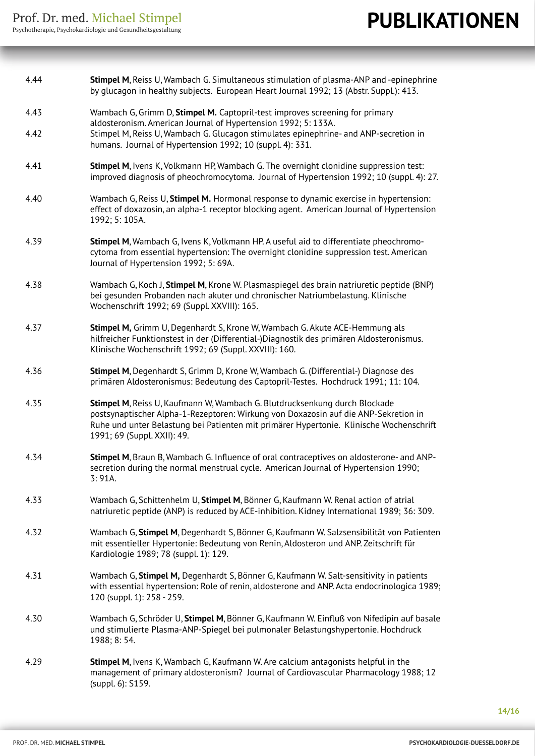| 4.44 | Stimpel M, Reiss U, Wambach G. Simultaneous stimulation of plasma-ANP and -epinephrine                                                                                                                                                                                                              |
|------|-----------------------------------------------------------------------------------------------------------------------------------------------------------------------------------------------------------------------------------------------------------------------------------------------------|
|      | by glucagon in healthy subjects. European Heart Journal 1992; 13 (Abstr. Suppl.): 413.                                                                                                                                                                                                              |
| 4.43 | Wambach G, Grimm D, Stimpel M. Captopril-test improves screening for primary<br>aldosteronism. American Journal of Hypertension 1992; 5: 133A.<br>Stimpel M, Reiss U, Wambach G. Glucagon stimulates epinephrine- and ANP-secretion in<br>humans. Journal of Hypertension 1992; 10 (suppl. 4): 331. |
| 4.42 |                                                                                                                                                                                                                                                                                                     |
| 4.41 | Stimpel M, Ivens K, Volkmann HP, Wambach G. The overnight clonidine suppression test:<br>improved diagnosis of pheochromocytoma. Journal of Hypertension 1992; 10 (suppl. 4): 27.                                                                                                                   |
| 4.40 | Wambach G, Reiss U, Stimpel M. Hormonal response to dynamic exercise in hypertension:<br>effect of doxazosin, an alpha-1 receptor blocking agent. American Journal of Hypertension<br>1992; 5: 105A.                                                                                                |
| 4.39 | Stimpel M, Wambach G, Ivens K, Volkmann HP. A useful aid to differentiate pheochromo-<br>cytoma from essential hypertension: The overnight clonidine suppression test. American<br>Journal of Hypertension 1992; 5: 69A.                                                                            |
| 4.38 | Wambach G, Koch J, Stimpel M, Krone W. Plasmaspiegel des brain natriuretic peptide (BNP)<br>bei gesunden Probanden nach akuter und chronischer Natriumbelastung. Klinische<br>Wochenschrift 1992; 69 (Suppl. XXVIII): 165.                                                                          |
| 4.37 | Stimpel M, Grimm U, Degenhardt S, Krone W, Wambach G. Akute ACE-Hemmung als<br>hilfreicher Funktionstest in der (Differential-)Diagnostik des primären Aldosteronismus.<br>Klinische Wochenschrift 1992; 69 (Suppl. XXVIII): 160.                                                                   |
| 4.36 | Stimpel M, Degenhardt S, Grimm D, Krone W, Wambach G. (Differential-) Diagnose des<br>primären Aldosteronismus: Bedeutung des Captopril-Testes. Hochdruck 1991; 11: 104.                                                                                                                            |
| 4.35 | Stimpel M, Reiss U, Kaufmann W, Wambach G. Blutdrucksenkung durch Blockade<br>postsynaptischer Alpha-1-Rezeptoren: Wirkung von Doxazosin auf die ANP-Sekretion in<br>Ruhe und unter Belastung bei Patienten mit primärer Hypertonie. Klinische Wochenschrift<br>1991; 69 (Suppl. XXII): 49.         |
| 4.34 | Stimpel M, Braun B, Wambach G. Influence of oral contraceptives on aldosterone- and ANP-<br>secretion during the normal menstrual cycle. American Journal of Hypertension 1990;<br>3:91A.                                                                                                           |
| 4.33 | Wambach G, Schittenhelm U, Stimpel M, Bönner G, Kaufmann W. Renal action of atrial<br>natriuretic peptide (ANP) is reduced by ACE-inhibition. Kidney International 1989; 36: 309.                                                                                                                   |
| 4.32 | Wambach G, Stimpel M, Degenhardt S, Bönner G, Kaufmann W. Salzsensibilität von Patienten<br>mit essentieller Hypertonie: Bedeutung von Renin, Aldosteron und ANP. Zeitschrift für<br>Kardiologie 1989; 78 (suppl. 1): 129.                                                                          |
| 4.31 | Wambach G, Stimpel M, Degenhardt S, Bönner G, Kaufmann W. Salt-sensitivity in patients<br>with essential hypertension: Role of renin, aldosterone and ANP. Acta endocrinologica 1989;<br>120 (suppl. 1): 258 - 259.                                                                                 |
| 4.30 | Wambach G, Schröder U, Stimpel M, Bönner G, Kaufmann W. Einfluß von Nifedipin auf basale<br>und stimulierte Plasma-ANP-Spiegel bei pulmonaler Belastungshypertonie. Hochdruck<br>1988; 8:54.                                                                                                        |
| 4.29 | Stimpel M, Ivens K, Wambach G, Kaufmann W. Are calcium antagonists helpful in the<br>management of primary aldosteronism? Journal of Cardiovascular Pharmacology 1988; 12<br>(suppl. 6): S159.                                                                                                      |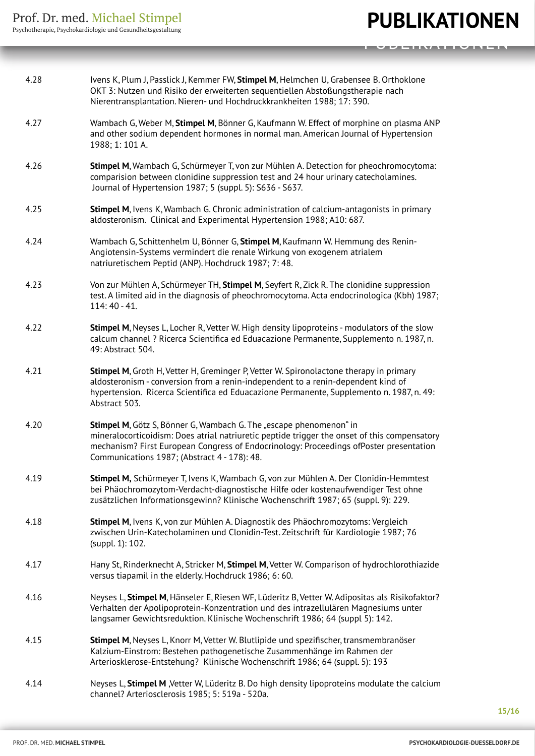| 4.28 | Ivens K, Plum J, Passlick J, Kemmer FW, Stimpel M, Helmchen U, Grabensee B. Orthoklone<br>OKT 3: Nutzen und Risiko der erweiterten sequentiellen Abstoßungstherapie nach<br>Nierentransplantation. Nieren- und Hochdruckkrankheiten 1988; 17: 390.                                                           |
|------|--------------------------------------------------------------------------------------------------------------------------------------------------------------------------------------------------------------------------------------------------------------------------------------------------------------|
| 4.27 | Wambach G, Weber M, Stimpel M, Bönner G, Kaufmann W. Effect of morphine on plasma ANP<br>and other sodium dependent hormones in normal man. American Journal of Hypertension<br>1988; 1:101 A.                                                                                                               |
| 4.26 | Stimpel M, Wambach G, Schürmeyer T, von zur Mühlen A. Detection for pheochromocytoma:<br>comparision between clonidine suppression test and 24 hour urinary catecholamines.<br>Journal of Hypertension 1987; 5 (suppl. 5): S636 - S637.                                                                      |
| 4.25 | Stimpel M, Ivens K, Wambach G. Chronic administration of calcium-antagonists in primary<br>aldosteronism. Clinical and Experimental Hypertension 1988; A10: 687.                                                                                                                                             |
| 4.24 | Wambach G, Schittenhelm U, Bönner G, Stimpel M, Kaufmann W. Hemmung des Renin-<br>Angiotensin-Systems vermindert die renale Wirkung von exogenem atrialem<br>natriuretischem Peptid (ANP). Hochdruck 1987; 7:48.                                                                                             |
| 4.23 | Von zur Mühlen A, Schürmeyer TH, Stimpel M, Seyfert R, Zick R. The clonidine suppression<br>test. A limited aid in the diagnosis of pheochromocytoma. Acta endocrinologica (Kbh) 1987;<br>$114:40 - 41.$                                                                                                     |
| 4.22 | Stimpel M, Neyses L, Locher R, Vetter W. High density lipoproteins - modulators of the slow<br>calcum channel ? Ricerca Scientifica ed Eduacazione Permanente, Supplemento n. 1987, n.<br>49: Abstract 504.                                                                                                  |
| 4.21 | Stimpel M, Groth H, Vetter H, Greminger P, Vetter W. Spironolactone therapy in primary<br>aldosteronism - conversion from a renin-independent to a renin-dependent kind of<br>hypertension. Ricerca Scientifica ed Eduacazione Permanente, Supplemento n. 1987, n. 49:<br>Abstract 503.                      |
| 4.20 | Stimpel M, Götz S, Bönner G, Wambach G. The "escape phenomenon" in<br>mineralocorticoidism: Does atrial natriuretic peptide trigger the onset of this compensatory<br>mechanism? First European Congress of Endocrinology: Proceedings ofPoster presentation<br>Communications 1987; (Abstract 4 - 178): 48. |
| 4.19 | Stimpel M, Schürmeyer T, Ivens K, Wambach G, von zur Mühlen A. Der Clonidin-Hemmtest<br>bei Phäochromozytom-Verdacht-diagnostische Hilfe oder kostenaufwendiger Test ohne<br>zusätzlichen Informationsgewinn? Klinische Wochenschrift 1987; 65 (suppl. 9): 229.                                              |
| 4.18 | Stimpel M, Ivens K, von zur Mühlen A. Diagnostik des Phäochromozytoms: Vergleich<br>zwischen Urin-Katecholaminen und Clonidin-Test. Zeitschrift für Kardiologie 1987; 76<br>(suppl. 1): 102.                                                                                                                 |
| 4.17 | Hany St, Rinderknecht A, Stricker M, Stimpel M, Vetter W. Comparison of hydrochlorothiazide<br>versus tiapamil in the elderly. Hochdruck 1986; 6: 60.                                                                                                                                                        |
| 4.16 | Neyses L, Stimpel M, Hänseler E, Riesen WF, Lüderitz B, Vetter W. Adipositas als Risikofaktor?<br>Verhalten der Apolipoprotein-Konzentration und des intrazellulären Magnesiums unter<br>langsamer Gewichtsreduktion. Klinische Wochenschrift 1986; 64 (suppl 5): 142.                                       |
| 4.15 | Stimpel M, Neyses L, Knorr M, Vetter W. Blutlipide und spezifischer, transmembranöser<br>Kalzium-Einstrom: Bestehen pathogenetische Zusammenhänge im Rahmen der<br>Arteriosklerose-Entstehung? Klinische Wochenschrift 1986; 64 (suppl. 5): 193                                                              |
| 4.14 | Neyses L, Stimpel M, Vetter W, Lüderitz B. Do high density lipoproteins modulate the calcium<br>channel? Arteriosclerosis 1985; 5: 519a - 520a.                                                                                                                                                              |